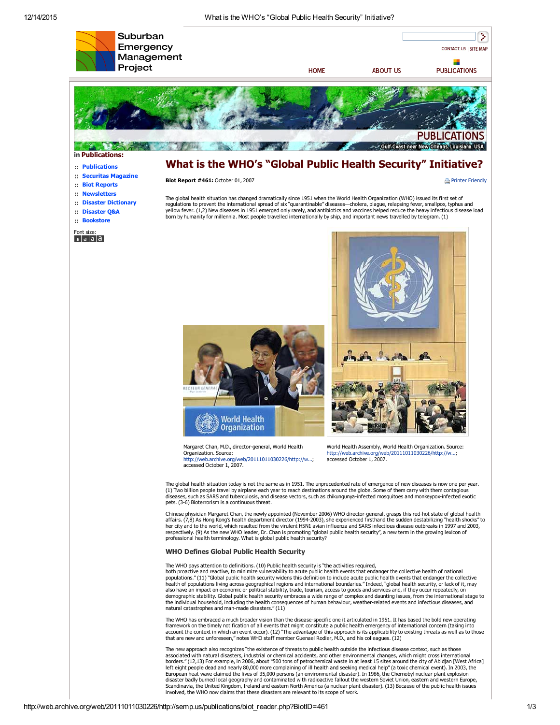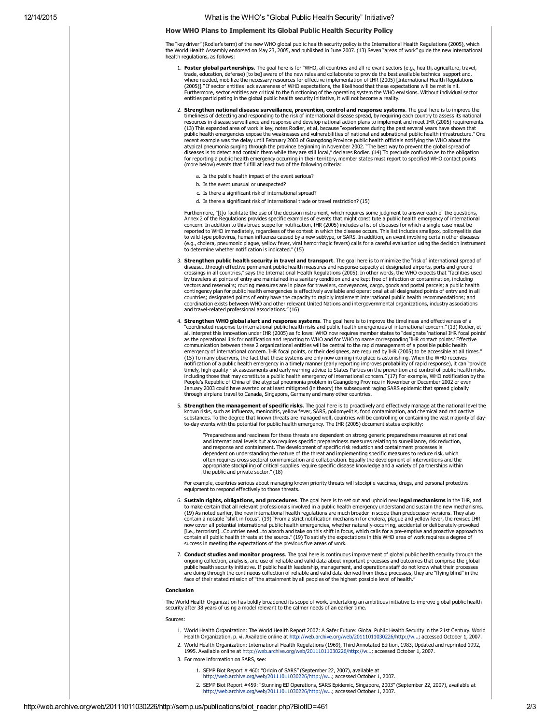## How WHO Plans to Implement its Global Public Health Security Policy

The "key driver" (Rodier's term) of the new WHO global public health security policy is the International Health Regulations (2005), which<br>the World Health Assembly endorsed on May 23, 2005, and published in June 2007. (13 health regulations, as follows:

- 1. Foster global partnerships. The goal here is for "WHO, all countries and all relevant sectors (e.g., health, agriculture, travel, trade, education, defense) [to be] aware of the new rules and collaborate to provide the best available technical support and,<br>where needed, mobilize the necessary resources for effective implementation of IHR (2005) [Inte entities participating in the global public health security initiative, it will not become a reality.
- 2. Strengthen national disease surveillance, prevention, control and response systems. The goal here is to improve the timeliness of detecting and responding to the risk of international disease spread, by requiring each country to assess its national resources in disease surveillance and response and develop national action plans to implement and meet IHR (2005) requirements.<br>(13) This expanded area of work is key, notes Rodier, et al, because "experiences during the p public health emergencies expose the weaknesses and vulnerabilities of national and subnational public health infrastructure." One recent example was the delay until February 2003 of Guangdong Province public health officials notifying the WHO about the atypical pneumonia surging through the province beginning in November 2002. "The best way to prevent the global spread of<br>diseases is to detect and contain them while they are still local," declares Rodier. (14) To preclud for reporting a public health emergency occurring in their territory, member states must report to specified WHO contact points (more below) events that fulfill at least two of the following criteria:
	- a. Is the public health impact of the event serious?
	- b. Is the event unusual or unexpected?
	- c. Is there a significant risk of international spread?
	- d. Is there a significant risk of international trade or travel restriction? (15)

Furthermore, "[t]o facilitate the use of the decision instrument, which requires some judgment to answer each of the questions, Annex 2 of the Regulations provides specific examples of events that might constitute a public health emergency of international<br>concern. In addition to this broad scope for notification, IHR (2005) includes a list of dise (e.g., cholera, pneumonic plague, yellow fever, viral hemorrhagic fevers) calls for a careful evaluation using the decision instrument to determine whether notification is indicated." (15)

- 3. Strengthen public health security in travel and transport. The goal here is to minimize the "risk of international spread of disease…through effective permanent public health measures and response capacity at designated airports, ports and ground<br>crossings in all countries," says the International Health Regulations (2005). In other words, the W by travelers at points of entry are maintained in a sanitary condition and are kept free of infection or contamination, including vectors and reservoirs; routing measures are in place for travelers, conveyances, cargo, goods and postal parcels; a public health contingency plan for public health emergencies is effectively available and operational at all designated points of entry and in all<br>countries; designated points of entry have the capacity to rapidly implement internationa coordination exists between WHO and other relevant United Nations and intergovernmental organizations, industry associations and travelrelated professional associations." (16)
- 4. Strengthen WHO global alert and response systems. The goal here is to improve the timeliness and effectiveness of a<br>coordinated response to international public health risks and public health emergencies of internationa al. interpret this innovation under IHR (2005) as follows: WHO now requires member states to "designate 'national IHR focal points' as the operational link for notification and reporting to WHO and for WHO to name corresponding `IHR contact points.' Effective<br>communication between these 2 organizational entities will be central to the rapid management emergency of international concern. IHR focal points, or their designees, are required by IHR (2005) to be accessible at all times."<br>(15) To many observers, the fact that these systems are only now coming into place is ast notification of a public health emergency in a timely manner (early reporting improves probability of rapid response), it can "provide<br>timely, high quality risk assessments and early warning advice to States Parties on the including those that may constitute a public health emergency of international concern." (17) For example, WHO notification by the<br>People's Republic of China of the atypical pneumonia problem in Guangdong Province in Novem January 2003 could have averted or at least mitigated (in theory) the subsequent raging SARS epidemic that spread globally<br>through airplane travel to Canada, Singapore, Germany and many other countries.
- 5. Strengthen the management of specific risks. The goal here is to proactively and effectively manage at the national level the known risks, such as influenza, meningitis, yellow fever, SARS, poliomyelitis, food contamination, and chemical and radioactive<br>substances. To the degree that known threats are managed well, countries will be controlling o

"Preparedness and readiness for these threats are dependent on strong generic preparedness measures at national and international levels but also requires specific preparedness measures relating to surveillance, risk reduction, and response and containment. The development of specific risk reduction and containment processes is dependent on understanding the nature of the threat and implementing specific measures to reduce risk, which often requires cross sectoral communication and collaboration. Equally the development of interventions and the appropriate stockpiling of critical supplies require specific disease knowledge and a variety of partnerships within the public and private sector." (18)

For example, countries serious about managing known priority threats will stockpile vaccines, drugs, and personal protective equipment to respond effectively to those threats.

- 6. Sustain rights, obligations, and procedures. The goal here is to set out and uphold new legal mechanisms in the IHR, and to make certain that all relevant professionals involved in a public health emergency understand and sustain the new mechanisms.<br>(19) As noted earlier, the new international health regulations are much broader in scope tha contain a notable "shift in focus". (19) "From a strict notification mechanism for cholera, plague and yellow fever, the revised IHR now cover all potential international public health emergencies, whether naturally-occurring, accidental or deliberately-provoked<br>[i.e., terrorism]...Countries need...to absorb and take on this shift in focus, which calls contain all public health threats at the source." (19) To satisfy the expectations in this WHO area of work requires a degree of success in meeting the expectations of the previous five areas of work.
- 7. Conduct studies and monitor progress. The goal here is continuous improvement of global public health security through the<br>ongoing collection, analysis, and use of reliable and valid data about important processes and o public health security initiative. If public health leadership, management, and operations staff do not know what their processes<br>are doing through the continuous collection of reliable and valid data derived from those pr face of their stated mission of "the attainment by all peoples of the highest possible level of health."

## Conclusion

The World Health Organization has boldly broadened its scope of work, undertaking an ambitious initiative to improve global public health security after 38 years of using a model relevant to the calmer needs of an earlier time.

Sources:

- 1. World Health Organization: The World Health Report 2007: A Safer Future: Global Public Health Security in the 21st Century. World Health Organization, p. vi. Available online at [http://web.archive.org/web/20111011030226/http://w...;](http://web.archive.org/web/20111011030226/http://www.who.int/whr/2007/whr07_en.pdf) accessed October 1, 2007.
- 2. World Health Organization: International Health Regulations (1969), Third Annotated Edition, 1983, Updated and reprinted 1992,
- 1995. Available online at [http://web.archive.org/web/20111011030226/http://w...](http://web.archive.org/web/20111011030226/http://www.who.int/csr/ihr/ihr1969.pdf); accessed October 1, 2007.
- 3. For more information on SARS, see:
	- 1. SEMP Biot Report # 460: "Origin of SARS" (September 22, 2007), available at
		- [http://web.archive.org/web/20111011030226/http://w...](http://web.archive.org/web/20111011030226/http://www.semp.us/publications/biot_reader.php?BiotID=460); accessed October 1, 2007.
	- 2. SEMP Biot Report #459: "Stunning ED Operations, SARS Epidemic, Singapore, 2003" (September 22, 2007), available at [http://web.archive.org/web/20111011030226/http://w...](http://web.archive.org/web/20111011030226/http://www.semp.us/publications/biot_reader.php?BiotID=459); accessed October 1, 2007.